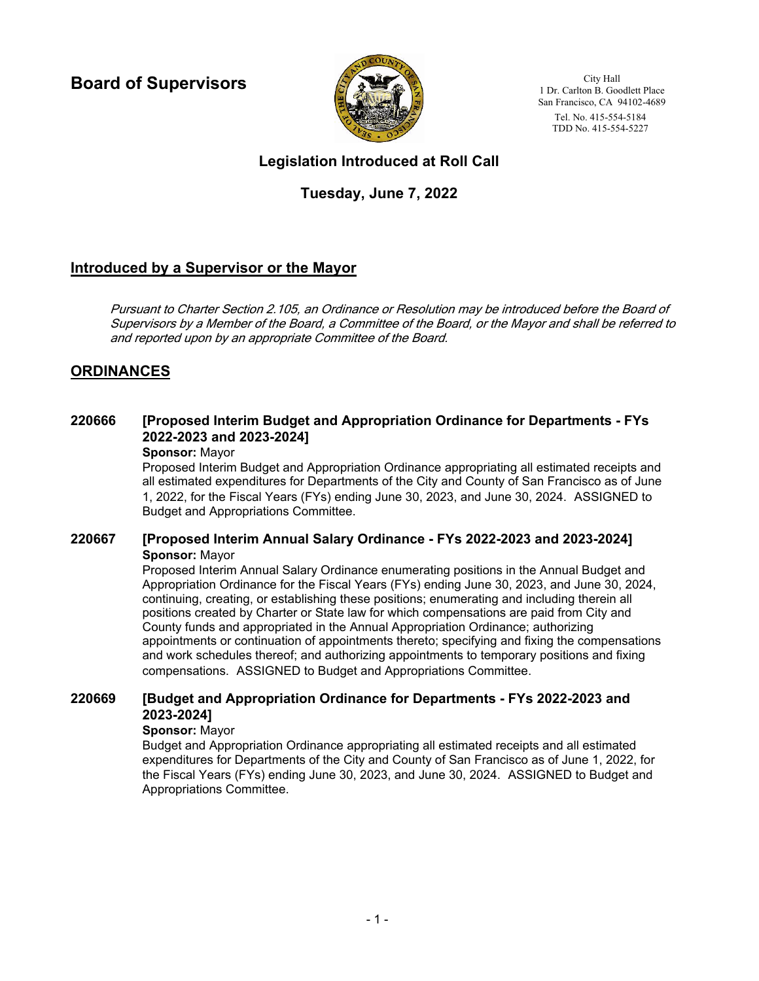**Board of Supervisors**



City Hall 1 Dr. Carlton B. Goodlett Place San Francisco, CA 94102-4689 Tel. No. 415-554-5184 TDD No. 415-554-5227

# **Legislation Introduced at Roll Call**

# **Tuesday, June 7, 2022**

# **Introduced by a Supervisor or the Mayor**

Pursuant to Charter Section 2.105, an Ordinance or Resolution may be introduced before the Board of Supervisors by a Member of the Board, a Committee of the Board, or the Mayor and shall be referred to and reported upon by an appropriate Committee of the Board.

# **ORDINANCES**

#### **[Proposed Interim Budget and Appropriation Ordinance for Departments - FYs 2022-2023 and 2023-2024] 220666**

## **Sponsor:** Mayor

Proposed Interim Budget and Appropriation Ordinance appropriating all estimated receipts and all estimated expenditures for Departments of the City and County of San Francisco as of June 1, 2022, for the Fiscal Years (FYs) ending June 30, 2023, and June 30, 2024. ASSIGNED to Budget and Appropriations Committee.

## **220667 [Proposed Interim Annual Salary Ordinance - FYs 2022-2023 and 2023-2024] Sponsor:** Mayor

Proposed Interim Annual Salary Ordinance enumerating positions in the Annual Budget and Appropriation Ordinance for the Fiscal Years (FYs) ending June 30, 2023, and June 30, 2024, continuing, creating, or establishing these positions; enumerating and including therein all positions created by Charter or State law for which compensations are paid from City and County funds and appropriated in the Annual Appropriation Ordinance; authorizing appointments or continuation of appointments thereto; specifying and fixing the compensations and work schedules thereof; and authorizing appointments to temporary positions and fixing compensations. ASSIGNED to Budget and Appropriations Committee.

#### **[Budget and Appropriation Ordinance for Departments - FYs 2022-2023 and 2023-2024] 220669**

## **Sponsor:** Mayor

Budget and Appropriation Ordinance appropriating all estimated receipts and all estimated expenditures for Departments of the City and County of San Francisco as of June 1, 2022, for the Fiscal Years (FYs) ending June 30, 2023, and June 30, 2024. ASSIGNED to Budget and Appropriations Committee.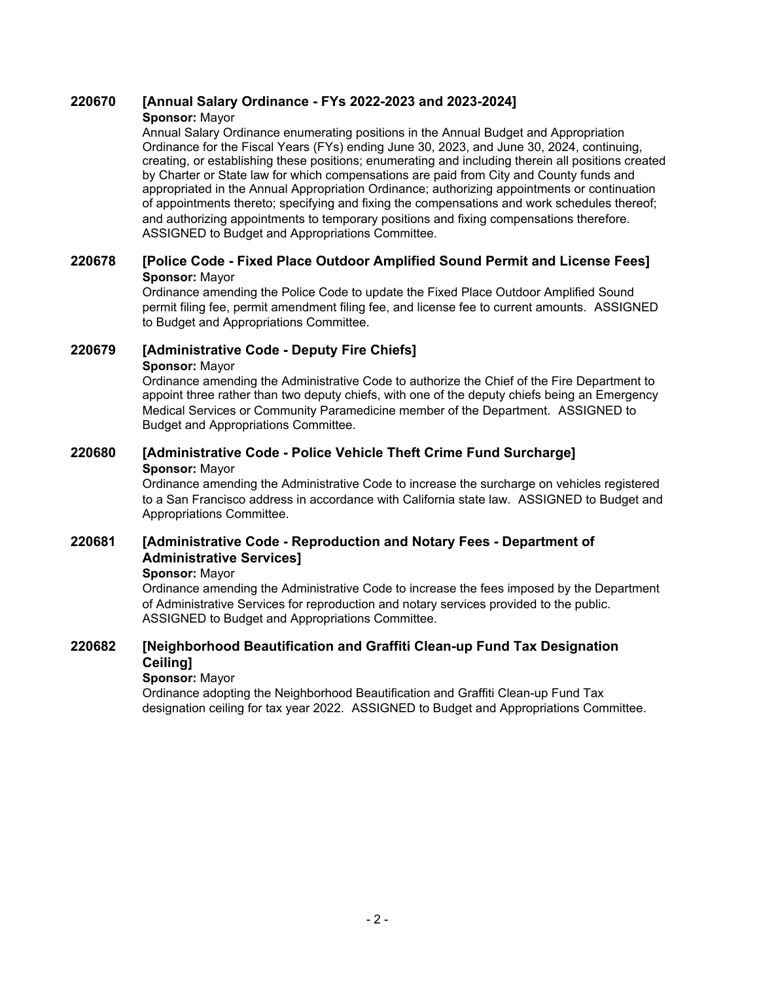## **220670 [Annual Salary Ordinance - FYs 2022-2023 and 2023-2024]**

### **Sponsor:** Mayor

Annual Salary Ordinance enumerating positions in the Annual Budget and Appropriation Ordinance for the Fiscal Years (FYs) ending June 30, 2023, and June 30, 2024, continuing, creating, or establishing these positions; enumerating and including therein all positions created by Charter or State law for which compensations are paid from City and County funds and appropriated in the Annual Appropriation Ordinance; authorizing appointments or continuation of appointments thereto; specifying and fixing the compensations and work schedules thereof; and authorizing appointments to temporary positions and fixing compensations therefore. ASSIGNED to Budget and Appropriations Committee.

## **220678 [Police Code - Fixed Place Outdoor Amplified Sound Permit and License Fees] Sponsor:** Mayor

Ordinance amending the Police Code to update the Fixed Place Outdoor Amplified Sound permit filing fee, permit amendment filing fee, and license fee to current amounts. ASSIGNED to Budget and Appropriations Committee.

# **220679 [Administrative Code - Deputy Fire Chiefs]**

### **Sponsor:** Mayor

Ordinance amending the Administrative Code to authorize the Chief of the Fire Department to appoint three rather than two deputy chiefs, with one of the deputy chiefs being an Emergency Medical Services or Community Paramedicine member of the Department. ASSIGNED to Budget and Appropriations Committee.

## **220680 [Administrative Code - Police Vehicle Theft Crime Fund Surcharge] Sponsor:** Mayor

Ordinance amending the Administrative Code to increase the surcharge on vehicles registered to a San Francisco address in accordance with California state law. ASSIGNED to Budget and Appropriations Committee.

#### **[Administrative Code - Reproduction and Notary Fees - Department of Administrative Services] 220681**

## **Sponsor:** Mayor

Ordinance amending the Administrative Code to increase the fees imposed by the Department of Administrative Services for reproduction and notary services provided to the public. ASSIGNED to Budget and Appropriations Committee.

#### **[Neighborhood Beautification and Graffiti Clean-up Fund Tax Designation Ceiling] 220682**

## **Sponsor:** Mayor

Ordinance adopting the Neighborhood Beautification and Graffiti Clean-up Fund Tax designation ceiling for tax year 2022. ASSIGNED to Budget and Appropriations Committee.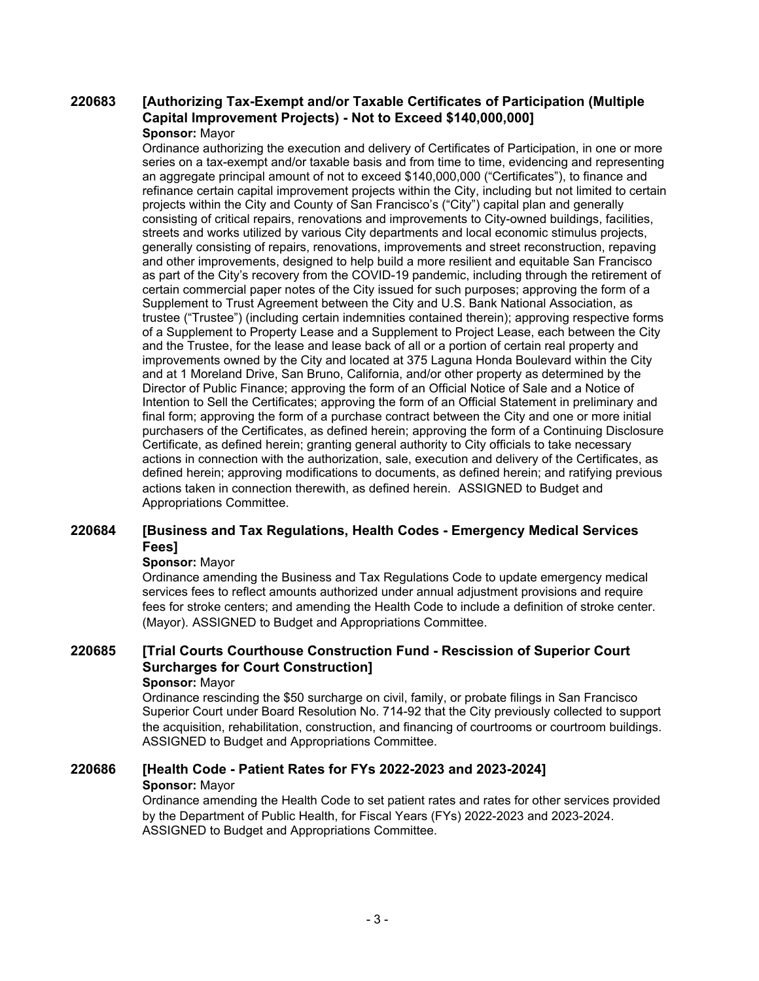#### **[Authorizing Tax-Exempt and/or Taxable Certificates of Participation (Multiple Capital Improvement Projects) - Not to Exceed \$140,000,000] 220683 Sponsor:** Mayor

Ordinance authorizing the execution and delivery of Certificates of Participation, in one or more series on a tax-exempt and/or taxable basis and from time to time, evidencing and representing an aggregate principal amount of not to exceed \$140,000,000 ("Certificates"), to finance and refinance certain capital improvement projects within the City, including but not limited to certain projects within the City and County of San Francisco's ("City") capital plan and generally consisting of critical repairs, renovations and improvements to City-owned buildings, facilities, streets and works utilized by various City departments and local economic stimulus projects, generally consisting of repairs, renovations, improvements and street reconstruction, repaving and other improvements, designed to help build a more resilient and equitable San Francisco as part of the City's recovery from the COVID-19 pandemic, including through the retirement of certain commercial paper notes of the City issued for such purposes; approving the form of a Supplement to Trust Agreement between the City and U.S. Bank National Association, as trustee ("Trustee") (including certain indemnities contained therein); approving respective forms of a Supplement to Property Lease and a Supplement to Project Lease, each between the City and the Trustee, for the lease and lease back of all or a portion of certain real property and improvements owned by the City and located at 375 Laguna Honda Boulevard within the City and at 1 Moreland Drive, San Bruno, California, and/or other property as determined by the Director of Public Finance; approving the form of an Official Notice of Sale and a Notice of Intention to Sell the Certificates; approving the form of an Official Statement in preliminary and final form; approving the form of a purchase contract between the City and one or more initial purchasers of the Certificates, as defined herein; approving the form of a Continuing Disclosure Certificate, as defined herein; granting general authority to City officials to take necessary actions in connection with the authorization, sale, execution and delivery of the Certificates, as defined herein; approving modifications to documents, as defined herein; and ratifying previous actions taken in connection therewith, as defined herein. ASSIGNED to Budget and Appropriations Committee.

#### **[Business and Tax Regulations, Health Codes - Emergency Medical Services Fees] 220684**

### **Sponsor:** Mayor

Ordinance amending the Business and Tax Regulations Code to update emergency medical services fees to reflect amounts authorized under annual adjustment provisions and require fees for stroke centers; and amending the Health Code to include a definition of stroke center. (Mayor). ASSIGNED to Budget and Appropriations Committee.

### **[Trial Courts Courthouse Construction Fund - Rescission of Superior Court Surcharges for Court Construction] 220685**

# **Sponsor:** Mayor

Ordinance rescinding the \$50 surcharge on civil, family, or probate filings in San Francisco Superior Court under Board Resolution No. 714-92 that the City previously collected to support the acquisition, rehabilitation, construction, and financing of courtrooms or courtroom buildings. ASSIGNED to Budget and Appropriations Committee.

## **220686 [Health Code - Patient Rates for FYs 2022-2023 and 2023-2024]**

## **Sponsor:** Mayor

Ordinance amending the Health Code to set patient rates and rates for other services provided by the Department of Public Health, for Fiscal Years (FYs) 2022-2023 and 2023-2024. ASSIGNED to Budget and Appropriations Committee.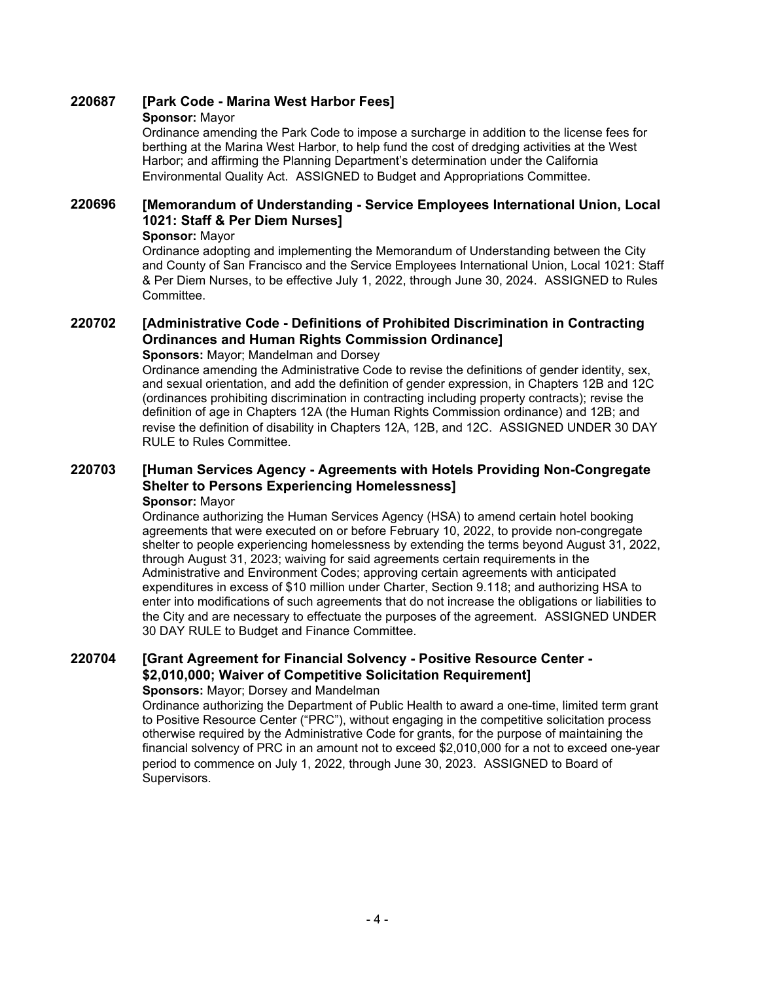## **220687 [Park Code - Marina West Harbor Fees]**

### **Sponsor:** Mayor

Ordinance amending the Park Code to impose a surcharge in addition to the license fees for berthing at the Marina West Harbor, to help fund the cost of dredging activities at the West Harbor; and affirming the Planning Department's determination under the California Environmental Quality Act. ASSIGNED to Budget and Appropriations Committee.

#### **[Memorandum of Understanding - Service Employees International Union, Local 1021: Staff & Per Diem Nurses] 220696**

### **Sponsor:** Mayor

Ordinance adopting and implementing the Memorandum of Understanding between the City and County of San Francisco and the Service Employees International Union, Local 1021: Staff & Per Diem Nurses, to be effective July 1, 2022, through June 30, 2024. ASSIGNED to Rules Committee.

#### **[Administrative Code - Definitions of Prohibited Discrimination in Contracting Ordinances and Human Rights Commission Ordinance] 220702**

## **Sponsors:** Mayor; Mandelman and Dorsey

Ordinance amending the Administrative Code to revise the definitions of gender identity, sex, and sexual orientation, and add the definition of gender expression, in Chapters 12B and 12C (ordinances prohibiting discrimination in contracting including property contracts); revise the definition of age in Chapters 12A (the Human Rights Commission ordinance) and 12B; and revise the definition of disability in Chapters 12A, 12B, and 12C. ASSIGNED UNDER 30 DAY RULE to Rules Committee.

#### **[Human Services Agency - Agreements with Hotels Providing Non-Congregate Shelter to Persons Experiencing Homelessness] 220703 Sponsor:** Mayor

Ordinance authorizing the Human Services Agency (HSA) to amend certain hotel booking agreements that were executed on or before February 10, 2022, to provide non-congregate shelter to people experiencing homelessness by extending the terms beyond August 31, 2022, through August 31, 2023; waiving for said agreements certain requirements in the Administrative and Environment Codes; approving certain agreements with anticipated expenditures in excess of \$10 million under Charter, Section 9.118; and authorizing HSA to enter into modifications of such agreements that do not increase the obligations or liabilities to the City and are necessary to effectuate the purposes of the agreement. ASSIGNED UNDER 30 DAY RULE to Budget and Finance Committee.

#### **[Grant Agreement for Financial Solvency - Positive Resource Center - \$2,010,000; Waiver of Competitive Solicitation Requirement] 220704 Sponsors:** Mayor; Dorsey and Mandelman

## Ordinance authorizing the Department of Public Health to award a one-time, limited term grant to Positive Resource Center ("PRC"), without engaging in the competitive solicitation process otherwise required by the Administrative Code for grants, for the purpose of maintaining the financial solvency of PRC in an amount not to exceed \$2,010,000 for a not to exceed one-year

period to commence on July 1, 2022, through June 30, 2023. ASSIGNED to Board of Supervisors.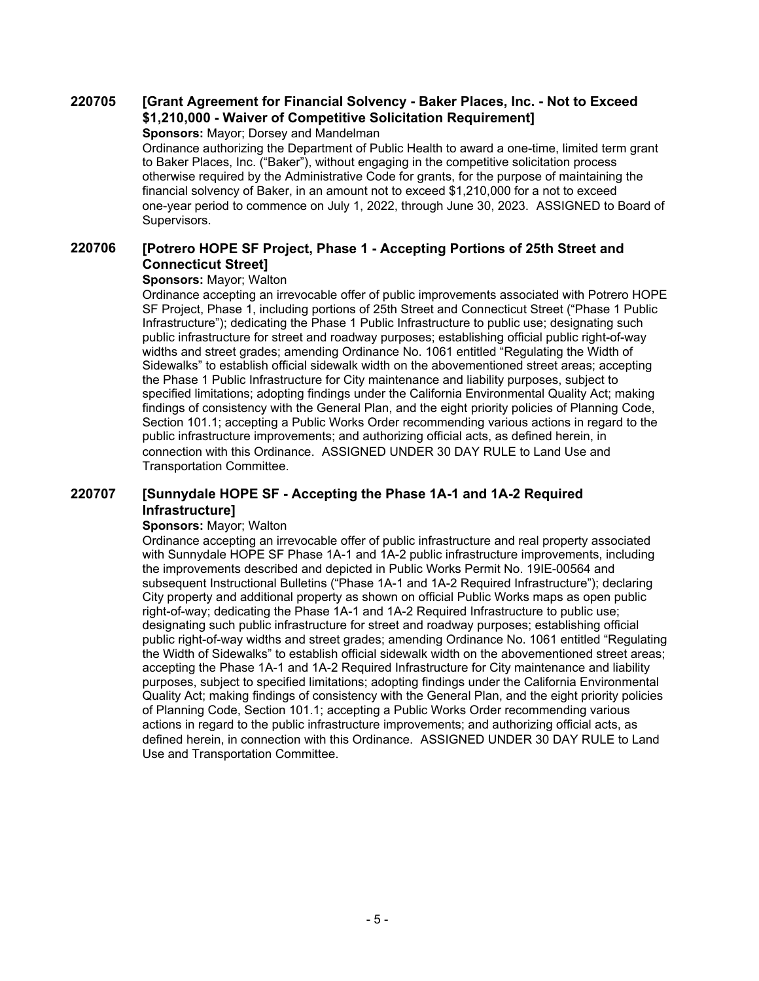### **[Grant Agreement for Financial Solvency - Baker Places, Inc. - Not to Exceed \$1,210,000 - Waiver of Competitive Solicitation Requirement] 220705**

**Sponsors:** Mayor; Dorsey and Mandelman

Ordinance authorizing the Department of Public Health to award a one-time, limited term grant to Baker Places, Inc. ("Baker"), without engaging in the competitive solicitation process otherwise required by the Administrative Code for grants, for the purpose of maintaining the financial solvency of Baker, in an amount not to exceed \$1,210,000 for a not to exceed one-year period to commence on July 1, 2022, through June 30, 2023. ASSIGNED to Board of Supervisors.

#### **[Potrero HOPE SF Project, Phase 1 - Accepting Portions of 25th Street and Connecticut Street] 220706**

## **Sponsors:** Mayor; Walton

Ordinance accepting an irrevocable offer of public improvements associated with Potrero HOPE SF Project, Phase 1, including portions of 25th Street and Connecticut Street ("Phase 1 Public Infrastructure"); dedicating the Phase 1 Public Infrastructure to public use; designating such public infrastructure for street and roadway purposes; establishing official public right-of-way widths and street grades; amending Ordinance No. 1061 entitled "Regulating the Width of Sidewalks" to establish official sidewalk width on the abovementioned street areas; accepting the Phase 1 Public Infrastructure for City maintenance and liability purposes, subject to specified limitations; adopting findings under the California Environmental Quality Act; making findings of consistency with the General Plan, and the eight priority policies of Planning Code, Section 101.1; accepting a Public Works Order recommending various actions in regard to the public infrastructure improvements; and authorizing official acts, as defined herein, in connection with this Ordinance. ASSIGNED UNDER 30 DAY RULE to Land Use and Transportation Committee.

#### **[Sunnydale HOPE SF - Accepting the Phase 1A-1 and 1A-2 Required Infrastructure] 220707**

### **Sponsors:** Mayor; Walton

Ordinance accepting an irrevocable offer of public infrastructure and real property associated with Sunnydale HOPE SF Phase 1A-1 and 1A-2 public infrastructure improvements, including the improvements described and depicted in Public Works Permit No. 19IE-00564 and subsequent Instructional Bulletins ("Phase 1A-1 and 1A-2 Required Infrastructure"); declaring City property and additional property as shown on official Public Works maps as open public right-of-way; dedicating the Phase 1A-1 and 1A-2 Required Infrastructure to public use; designating such public infrastructure for street and roadway purposes; establishing official public right-of-way widths and street grades; amending Ordinance No. 1061 entitled "Regulating the Width of Sidewalks" to establish official sidewalk width on the abovementioned street areas; accepting the Phase 1A-1 and 1A-2 Required Infrastructure for City maintenance and liability purposes, subject to specified limitations; adopting findings under the California Environmental Quality Act; making findings of consistency with the General Plan, and the eight priority policies of Planning Code, Section 101.1; accepting a Public Works Order recommending various actions in regard to the public infrastructure improvements; and authorizing official acts, as defined herein, in connection with this Ordinance. ASSIGNED UNDER 30 DAY RULE to Land Use and Transportation Committee.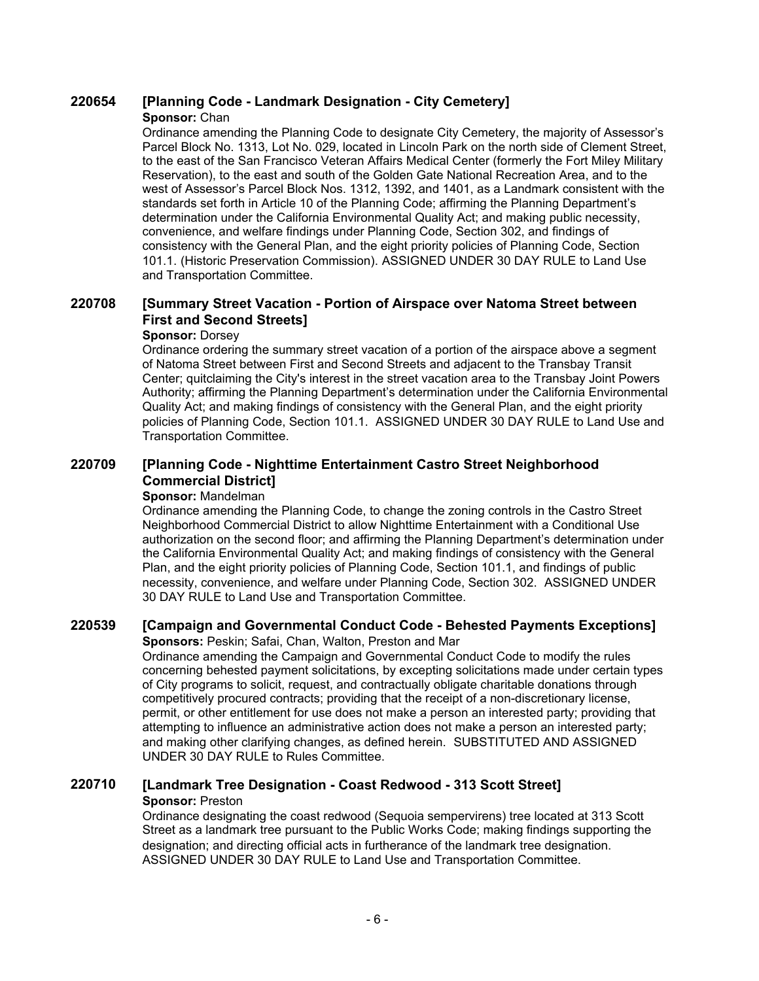# **220654 [Planning Code - Landmark Designation - City Cemetery]**

### **Sponsor:** Chan

Ordinance amending the Planning Code to designate City Cemetery, the majority of Assessor's Parcel Block No. 1313, Lot No. 029, located in Lincoln Park on the north side of Clement Street, to the east of the San Francisco Veteran Affairs Medical Center (formerly the Fort Miley Military Reservation), to the east and south of the Golden Gate National Recreation Area, and to the west of Assessor's Parcel Block Nos. 1312, 1392, and 1401, as a Landmark consistent with the standards set forth in Article 10 of the Planning Code; affirming the Planning Department's determination under the California Environmental Quality Act; and making public necessity, convenience, and welfare findings under Planning Code, Section 302, and findings of consistency with the General Plan, and the eight priority policies of Planning Code, Section 101.1. (Historic Preservation Commission). ASSIGNED UNDER 30 DAY RULE to Land Use and Transportation Committee.

#### **[Summary Street Vacation - Portion of Airspace over Natoma Street between First and Second Streets] 220708**

## **Sponsor:** Dorsey

Ordinance ordering the summary street vacation of a portion of the airspace above a segment of Natoma Street between First and Second Streets and adjacent to the Transbay Transit Center; quitclaiming the City's interest in the street vacation area to the Transbay Joint Powers Authority; affirming the Planning Department's determination under the California Environmental Quality Act; and making findings of consistency with the General Plan, and the eight priority policies of Planning Code, Section 101.1. ASSIGNED UNDER 30 DAY RULE to Land Use and Transportation Committee.

#### **[Planning Code - Nighttime Entertainment Castro Street Neighborhood Commercial District] 220709**

### **Sponsor:** Mandelman

Ordinance amending the Planning Code, to change the zoning controls in the Castro Street Neighborhood Commercial District to allow Nighttime Entertainment with a Conditional Use authorization on the second floor; and affirming the Planning Department's determination under the California Environmental Quality Act; and making findings of consistency with the General Plan, and the eight priority policies of Planning Code, Section 101.1, and findings of public necessity, convenience, and welfare under Planning Code, Section 302. ASSIGNED UNDER 30 DAY RULE to Land Use and Transportation Committee.

## **220539 [Campaign and Governmental Conduct Code - Behested Payments Exceptions]**

**Sponsors:** Peskin; Safai, Chan, Walton, Preston and Mar

Ordinance amending the Campaign and Governmental Conduct Code to modify the rules concerning behested payment solicitations, by excepting solicitations made under certain types of City programs to solicit, request, and contractually obligate charitable donations through competitively procured contracts; providing that the receipt of a non-discretionary license, permit, or other entitlement for use does not make a person an interested party; providing that attempting to influence an administrative action does not make a person an interested party; and making other clarifying changes, as defined herein. SUBSTITUTED AND ASSIGNED UNDER 30 DAY RULE to Rules Committee.

## **220710 [Landmark Tree Designation - Coast Redwood - 313 Scott Street] Sponsor:** Preston

Ordinance designating the coast redwood (Sequoia sempervirens) tree located at 313 Scott Street as a landmark tree pursuant to the Public Works Code; making findings supporting the designation; and directing official acts in furtherance of the landmark tree designation. ASSIGNED UNDER 30 DAY RULE to Land Use and Transportation Committee.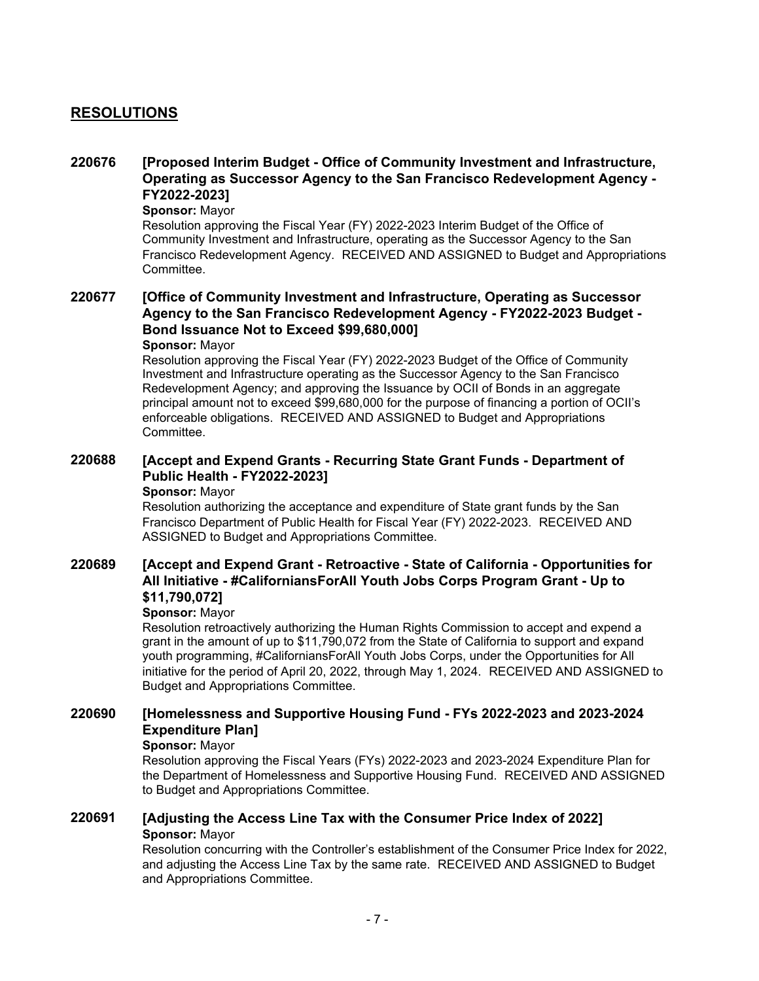# **RESOLUTIONS**

#### **[Proposed Interim Budget - Office of Community Investment and Infrastructure, Operating as Successor Agency to the San Francisco Redevelopment Agency - FY2022-2023] 220676**

### **Sponsor:** Mayor

Resolution approving the Fiscal Year (FY) 2022-2023 Interim Budget of the Office of Community Investment and Infrastructure, operating as the Successor Agency to the San Francisco Redevelopment Agency. RECEIVED AND ASSIGNED to Budget and Appropriations Committee.

### **[Office of Community Investment and Infrastructure, Operating as Successor Agency to the San Francisco Redevelopment Agency - FY2022-2023 Budget - Bond Issuance Not to Exceed \$99,680,000] 220677**

### **Sponsor:** Mayor

Resolution approving the Fiscal Year (FY) 2022-2023 Budget of the Office of Community Investment and Infrastructure operating as the Successor Agency to the San Francisco Redevelopment Agency; and approving the Issuance by OCII of Bonds in an aggregate principal amount not to exceed \$99,680,000 for the purpose of financing a portion of OCII's enforceable obligations. RECEIVED AND ASSIGNED to Budget and Appropriations Committee.

#### **[Accept and Expend Grants - Recurring State Grant Funds - Department of Public Health - FY2022-2023] 220688**

### **Sponsor:** Mayor

Resolution authorizing the acceptance and expenditure of State grant funds by the San Francisco Department of Public Health for Fiscal Year (FY) 2022-2023. RECEIVED AND ASSIGNED to Budget and Appropriations Committee.

### **[Accept and Expend Grant - Retroactive - State of California - Opportunities for All Initiative - #CaliforniansForAll Youth Jobs Corps Program Grant - Up to \$11,790,072] 220689**

### **Sponsor:** Mayor

Resolution retroactively authorizing the Human Rights Commission to accept and expend a grant in the amount of up to \$11,790,072 from the State of California to support and expand youth programming, #CaliforniansForAll Youth Jobs Corps, under the Opportunities for All initiative for the period of April 20, 2022, through May 1, 2024. RECEIVED AND ASSIGNED to Budget and Appropriations Committee.

#### **[Homelessness and Supportive Housing Fund - FYs 2022-2023 and 2023-2024 Expenditure Plan] 220690**

### **Sponsor:** Mayor

Resolution approving the Fiscal Years (FYs) 2022-2023 and 2023-2024 Expenditure Plan for the Department of Homelessness and Supportive Housing Fund. RECEIVED AND ASSIGNED to Budget and Appropriations Committee.

## **220691 [Adjusting the Access Line Tax with the Consumer Price Index of 2022] Sponsor:** Mayor

Resolution concurring with the Controller's establishment of the Consumer Price Index for 2022, and adjusting the Access Line Tax by the same rate. RECEIVED AND ASSIGNED to Budget and Appropriations Committee.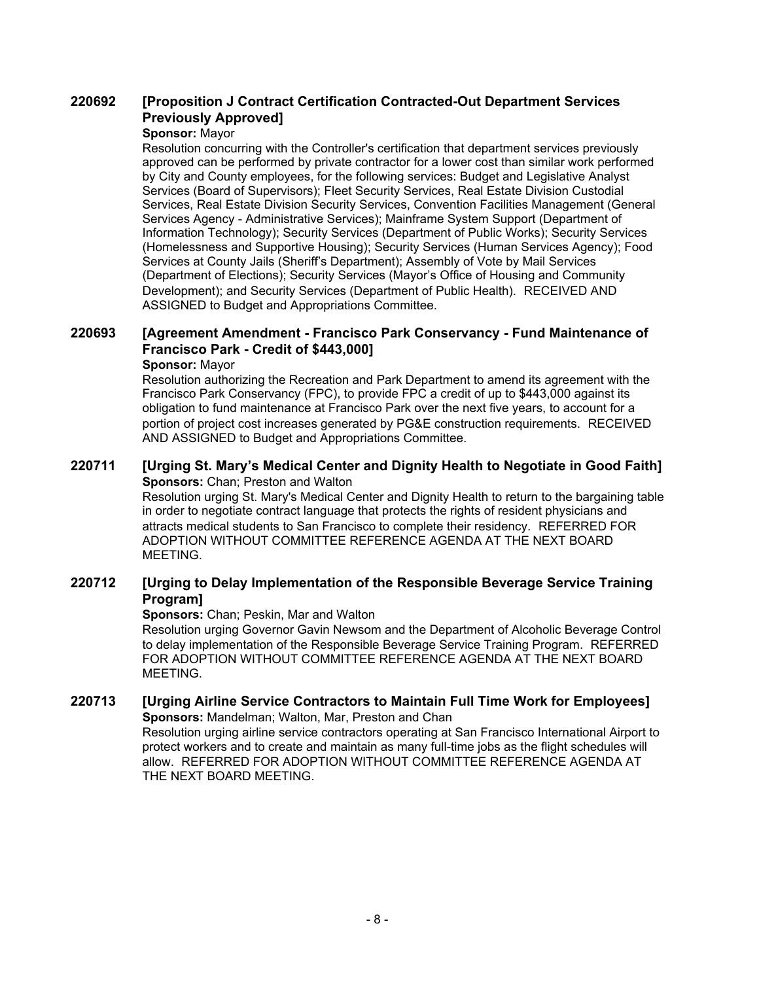#### **[Proposition J Contract Certification Contracted-Out Department Services Previously Approved] 220692**

### **Sponsor:** Mayor

Resolution concurring with the Controller's certification that department services previously approved can be performed by private contractor for a lower cost than similar work performed by City and County employees, for the following services: Budget and Legislative Analyst Services (Board of Supervisors); Fleet Security Services, Real Estate Division Custodial Services, Real Estate Division Security Services, Convention Facilities Management (General Services Agency - Administrative Services); Mainframe System Support (Department of Information Technology); Security Services (Department of Public Works); Security Services (Homelessness and Supportive Housing); Security Services (Human Services Agency); Food Services at County Jails (Sheriff's Department); Assembly of Vote by Mail Services (Department of Elections); Security Services (Mayor's Office of Housing and Community Development); and Security Services (Department of Public Health). RECEIVED AND ASSIGNED to Budget and Appropriations Committee.

#### **[Agreement Amendment - Francisco Park Conservancy - Fund Maintenance of Francisco Park - Credit of \$443,000] 220693**

### **Sponsor:** Mayor

Resolution authorizing the Recreation and Park Department to amend its agreement with the Francisco Park Conservancy (FPC), to provide FPC a credit of up to \$443,000 against its obligation to fund maintenance at Francisco Park over the next five years, to account for a portion of project cost increases generated by PG&E construction requirements. RECEIVED AND ASSIGNED to Budget and Appropriations Committee.

## **220711 [Urging St. Mary's Medical Center and Dignity Health to Negotiate in Good Faith] Sponsors: Chan; Preston and Walton**

Resolution urging St. Mary's Medical Center and Dignity Health to return to the bargaining table in order to negotiate contract language that protects the rights of resident physicians and attracts medical students to San Francisco to complete their residency. REFERRED FOR ADOPTION WITHOUT COMMITTEE REFERENCE AGENDA AT THE NEXT BOARD MEETING.

#### **[Urging to Delay Implementation of the Responsible Beverage Service Training Program] 220712**

**Sponsors:** Chan; Peskin, Mar and Walton

Resolution urging Governor Gavin Newsom and the Department of Alcoholic Beverage Control to delay implementation of the Responsible Beverage Service Training Program. REFERRED FOR ADOPTION WITHOUT COMMITTEE REFERENCE AGENDA AT THE NEXT BOARD MEETING.

## **220713 [Urging Airline Service Contractors to Maintain Full Time Work for Employees] Sponsors:** Mandelman; Walton, Mar, Preston and Chan

Resolution urging airline service contractors operating at San Francisco International Airport to protect workers and to create and maintain as many full-time jobs as the flight schedules will allow. REFERRED FOR ADOPTION WITHOUT COMMITTEE REFERENCE AGENDA AT THE NEXT BOARD MEETING.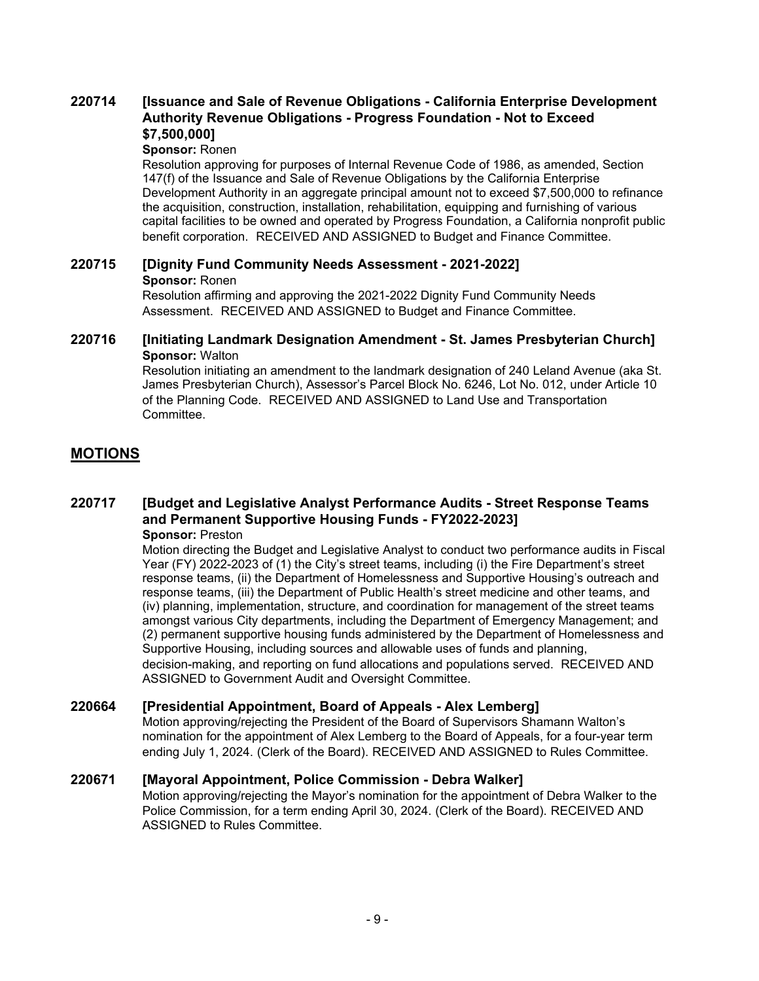#### **[Issuance and Sale of Revenue Obligations - California Enterprise Development Authority Revenue Obligations - Progress Foundation - Not to Exceed \$7,500,000] 220714**

### **Sponsor:** Ronen

Resolution approving for purposes of Internal Revenue Code of 1986, as amended, Section 147(f) of the Issuance and Sale of Revenue Obligations by the California Enterprise Development Authority in an aggregate principal amount not to exceed \$7,500,000 to refinance the acquisition, construction, installation, rehabilitation, equipping and furnishing of various capital facilities to be owned and operated by Progress Foundation, a California nonprofit public benefit corporation. RECEIVED AND ASSIGNED to Budget and Finance Committee.

### **220715 [Dignity Fund Community Needs Assessment - 2021-2022] Sponsor:** Ronen Resolution affirming and approving the 2021-2022 Dignity Fund Community Needs Assessment. RECEIVED AND ASSIGNED to Budget and Finance Committee.

## **220716 [Initiating Landmark Designation Amendment - St. James Presbyterian Church] Sponsor:** Walton

Resolution initiating an amendment to the landmark designation of 240 Leland Avenue (aka St. James Presbyterian Church), Assessor's Parcel Block No. 6246, Lot No. 012, under Article 10 of the Planning Code. RECEIVED AND ASSIGNED to Land Use and Transportation Committee.

# **MOTIONS**

#### **[Budget and Legislative Analyst Performance Audits - Street Response Teams and Permanent Supportive Housing Funds - FY2022-2023] 220717 Sponsor:** Preston

Motion directing the Budget and Legislative Analyst to conduct two performance audits in Fiscal Year (FY) 2022-2023 of (1) the City's street teams, including (i) the Fire Department's street response teams, (ii) the Department of Homelessness and Supportive Housing's outreach and response teams, (iii) the Department of Public Health's street medicine and other teams, and (iv) planning, implementation, structure, and coordination for management of the street teams amongst various City departments, including the Department of Emergency Management; and (2) permanent supportive housing funds administered by the Department of Homelessness and Supportive Housing, including sources and allowable uses of funds and planning, decision-making, and reporting on fund allocations and populations served. RECEIVED AND ASSIGNED to Government Audit and Oversight Committee.

## **220664 [Presidential Appointment, Board of Appeals - Alex Lemberg]**

Motion approving/rejecting the President of the Board of Supervisors Shamann Walton's nomination for the appointment of Alex Lemberg to the Board of Appeals, for a four-year term ending July 1, 2024. (Clerk of the Board). RECEIVED AND ASSIGNED to Rules Committee.

## **220671 [Mayoral Appointment, Police Commission - Debra Walker]**

Motion approving/rejecting the Mayor's nomination for the appointment of Debra Walker to the Police Commission, for a term ending April 30, 2024. (Clerk of the Board). RECEIVED AND ASSIGNED to Rules Committee.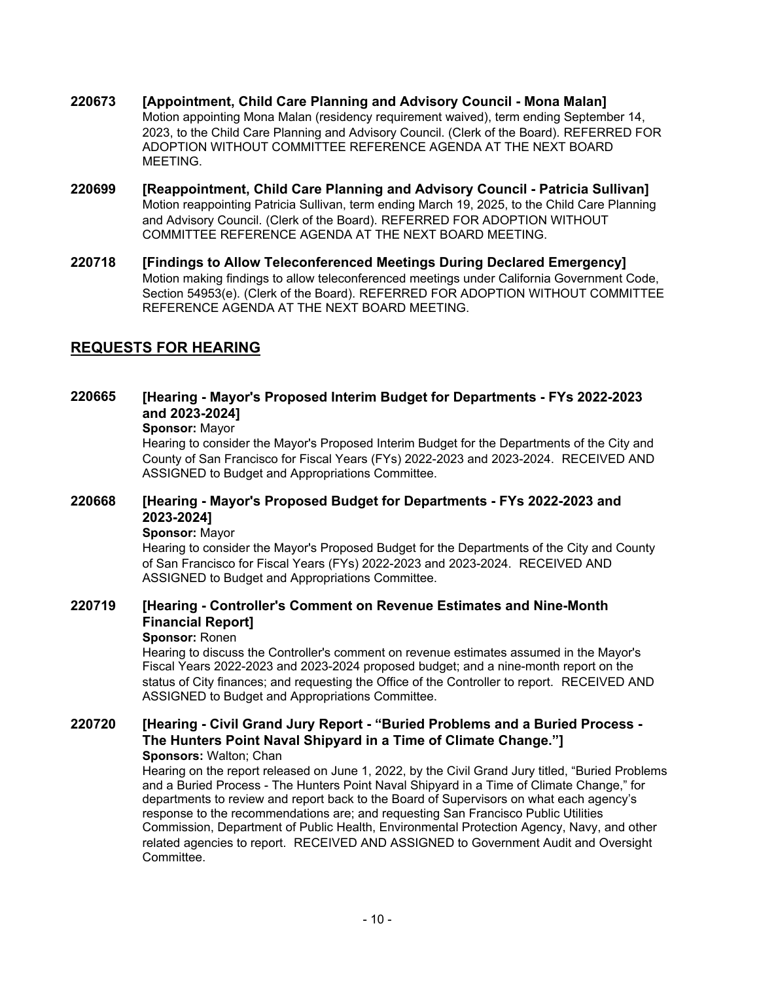- **220673 [Appointment, Child Care Planning and Advisory Council Mona Malan]** Motion appointing Mona Malan (residency requirement waived), term ending September 14, 2023, to the Child Care Planning and Advisory Council. (Clerk of the Board). REFERRED FOR ADOPTION WITHOUT COMMITTEE REFERENCE AGENDA AT THE NEXT BOARD **MEETING**
- **220699 [Reappointment, Child Care Planning and Advisory Council Patricia Sullivan]** Motion reappointing Patricia Sullivan, term ending March 19, 2025, to the Child Care Planning and Advisory Council. (Clerk of the Board). REFERRED FOR ADOPTION WITHOUT COMMITTEE REFERENCE AGENDA AT THE NEXT BOARD MEETING.
- **220718 [Findings to Allow Teleconferenced Meetings During Declared Emergency]** Motion making findings to allow teleconferenced meetings under California Government Code, Section 54953(e). (Clerk of the Board). REFERRED FOR ADOPTION WITHOUT COMMITTEE REFERENCE AGENDA AT THE NEXT BOARD MEETING.

# **REQUESTS FOR HEARING**

#### **[Hearing - Mayor's Proposed Interim Budget for Departments - FYs 2022-2023 and 2023-2024] 220665**

### **Sponsor:** Mayor

Hearing to consider the Mayor's Proposed Interim Budget for the Departments of the City and County of San Francisco for Fiscal Years (FYs) 2022-2023 and 2023-2024. RECEIVED AND ASSIGNED to Budget and Appropriations Committee.

#### **[Hearing - Mayor's Proposed Budget for Departments - FYs 2022-2023 and 2023-2024] 220668**

### **Sponsor:** Mayor

Hearing to consider the Mayor's Proposed Budget for the Departments of the City and County of San Francisco for Fiscal Years (FYs) 2022-2023 and 2023-2024. RECEIVED AND ASSIGNED to Budget and Appropriations Committee.

#### **[Hearing - Controller's Comment on Revenue Estimates and Nine-Month Financial Report] 220719**

### **Sponsor:** Ronen

Hearing to discuss the Controller's comment on revenue estimates assumed in the Mayor's Fiscal Years 2022-2023 and 2023-2024 proposed budget; and a nine-month report on the status of City finances; and requesting the Office of the Controller to report. RECEIVED AND ASSIGNED to Budget and Appropriations Committee.

#### **[Hearing - Civil Grand Jury Report - "Buried Problems and a Buried Process - The Hunters Point Naval Shipyard in a Time of Climate Change."] 220720 Sponsors:** Walton; Chan

Hearing on the report released on June 1, 2022, by the Civil Grand Jury titled, "Buried Problems and a Buried Process - The Hunters Point Naval Shipyard in a Time of Climate Change," for departments to review and report back to the Board of Supervisors on what each agency's response to the recommendations are; and requesting San Francisco Public Utilities Commission, Department of Public Health, Environmental Protection Agency, Navy, and other related agencies to report. RECEIVED AND ASSIGNED to Government Audit and Oversight **Committee.**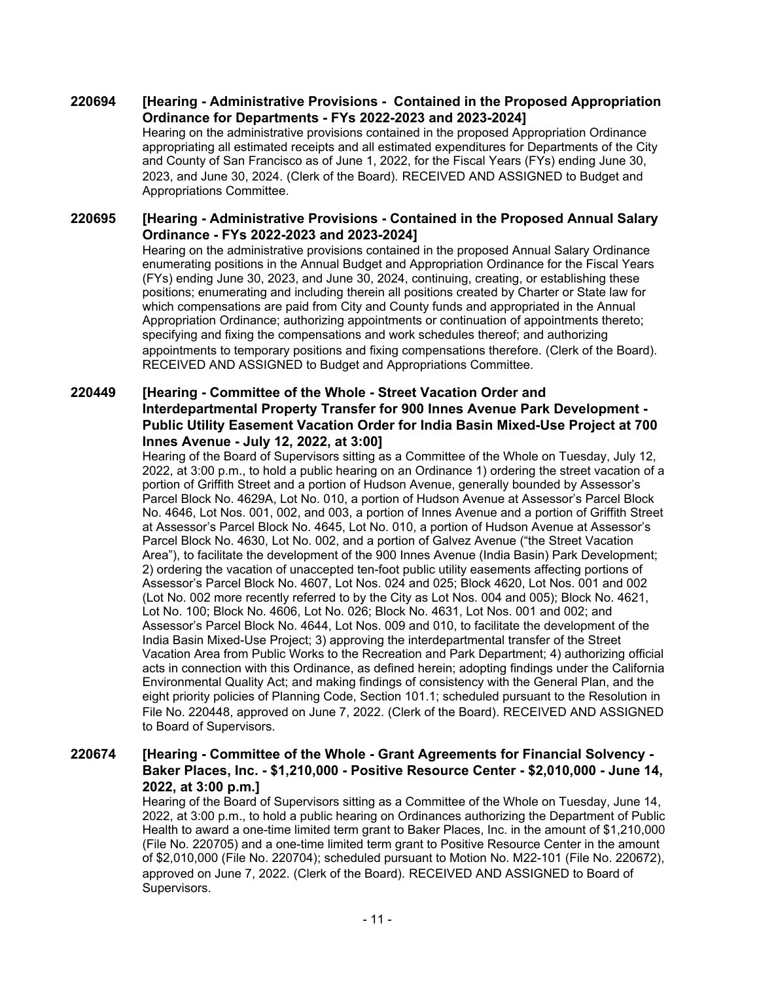#### **[Hearing - Administrative Provisions - Contained in the Proposed Appropriation Ordinance for Departments - FYs 2022-2023 and 2023-2024] 220694**

Hearing on the administrative provisions contained in the proposed Appropriation Ordinance appropriating all estimated receipts and all estimated expenditures for Departments of the City and County of San Francisco as of June 1, 2022, for the Fiscal Years (FYs) ending June 30, 2023, and June 30, 2024. (Clerk of the Board). RECEIVED AND ASSIGNED to Budget and Appropriations Committee.

#### **[Hearing - Administrative Provisions - Contained in the Proposed Annual Salary Ordinance - FYs 2022-2023 and 2023-2024] 220695**

Hearing on the administrative provisions contained in the proposed Annual Salary Ordinance enumerating positions in the Annual Budget and Appropriation Ordinance for the Fiscal Years (FYs) ending June 30, 2023, and June 30, 2024, continuing, creating, or establishing these positions; enumerating and including therein all positions created by Charter or State law for which compensations are paid from City and County funds and appropriated in the Annual Appropriation Ordinance; authorizing appointments or continuation of appointments thereto; specifying and fixing the compensations and work schedules thereof; and authorizing appointments to temporary positions and fixing compensations therefore. (Clerk of the Board). RECEIVED AND ASSIGNED to Budget and Appropriations Committee.

### **[Hearing - Committee of the Whole - Street Vacation Order and Interdepartmental Property Transfer for 900 Innes Avenue Park Development - Public Utility Easement Vacation Order for India Basin Mixed-Use Project at 700 Innes Avenue - July 12, 2022, at 3:00] 220449**

Hearing of the Board of Supervisors sitting as a Committee of the Whole on Tuesday, July 12, 2022, at 3:00 p.m., to hold a public hearing on an Ordinance 1) ordering the street vacation of a portion of Griffith Street and a portion of Hudson Avenue, generally bounded by Assessor's Parcel Block No. 4629A, Lot No. 010, a portion of Hudson Avenue at Assessor's Parcel Block No. 4646, Lot Nos. 001, 002, and 003, a portion of Innes Avenue and a portion of Griffith Street at Assessor's Parcel Block No. 4645, Lot No. 010, a portion of Hudson Avenue at Assessor's Parcel Block No. 4630, Lot No. 002, and a portion of Galvez Avenue ("the Street Vacation Area"), to facilitate the development of the 900 Innes Avenue (India Basin) Park Development; 2) ordering the vacation of unaccepted ten-foot public utility easements affecting portions of Assessor's Parcel Block No. 4607, Lot Nos. 024 and 025; Block 4620, Lot Nos. 001 and 002 (Lot No. 002 more recently referred to by the City as Lot Nos. 004 and 005); Block No. 4621, Lot No. 100; Block No. 4606, Lot No. 026; Block No. 4631, Lot Nos. 001 and 002; and Assessor's Parcel Block No. 4644, Lot Nos. 009 and 010, to facilitate the development of the India Basin Mixed-Use Project; 3) approving the interdepartmental transfer of the Street Vacation Area from Public Works to the Recreation and Park Department; 4) authorizing official acts in connection with this Ordinance, as defined herein; adopting findings under the California Environmental Quality Act; and making findings of consistency with the General Plan, and the eight priority policies of Planning Code, Section 101.1; scheduled pursuant to the Resolution in File No. 220448, approved on June 7, 2022. (Clerk of the Board). RECEIVED AND ASSIGNED to Board of Supervisors.

#### **[Hearing - Committee of the Whole - Grant Agreements for Financial Solvency - Baker Places, Inc. - \$1,210,000 - Positive Resource Center - \$2,010,000 - June 14, 2022, at 3:00 p.m.] 220674**

Hearing of the Board of Supervisors sitting as a Committee of the Whole on Tuesday, June 14, 2022, at 3:00 p.m., to hold a public hearing on Ordinances authorizing the Department of Public Health to award a one-time limited term grant to Baker Places, Inc. in the amount of \$1,210,000 (File No. 220705) and a one-time limited term grant to Positive Resource Center in the amount of \$2,010,000 (File No. 220704); scheduled pursuant to Motion No. M22-101 (File No. 220672), approved on June 7, 2022. (Clerk of the Board). RECEIVED AND ASSIGNED to Board of Supervisors.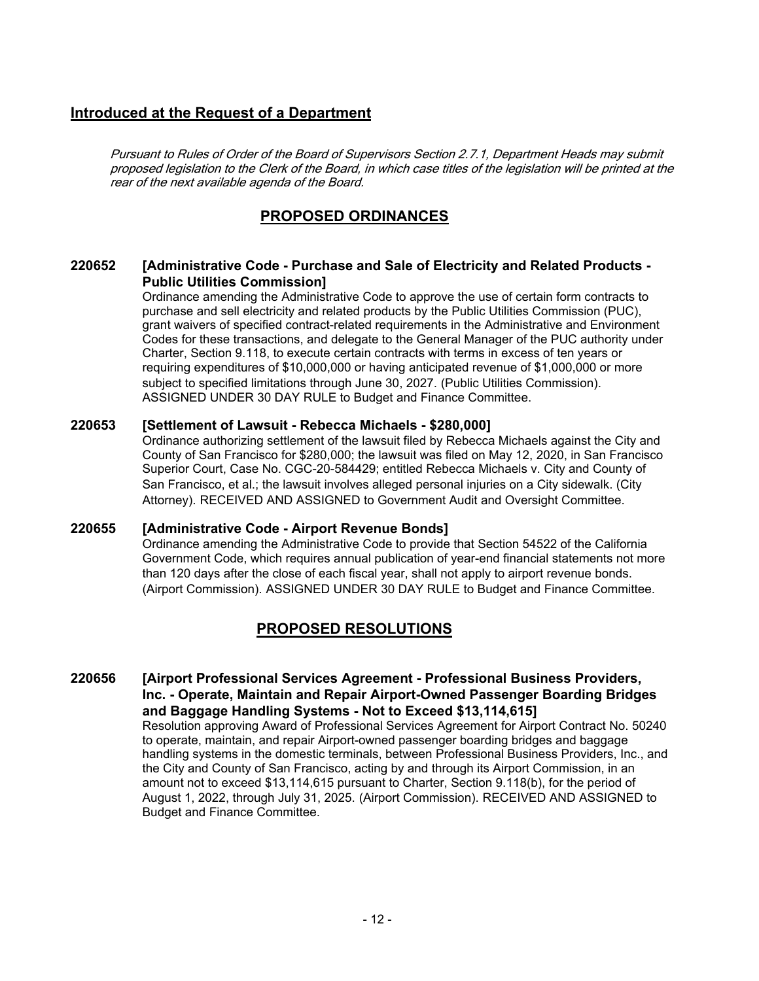# **Introduced at the Request of a Department**

Pursuant to Rules of Order of the Board of Supervisors Section 2.7.1, Department Heads may submit proposed legislation to the Clerk of the Board, in which case titles of the legislation will be printed at the rear of the next available agenda of the Board.

# **PROPOSED ORDINANCES**

#### **[Administrative Code - Purchase and Sale of Electricity and Related Products - Public Utilities Commission] 220652**

Ordinance amending the Administrative Code to approve the use of certain form contracts to purchase and sell electricity and related products by the Public Utilities Commission (PUC), grant waivers of specified contract-related requirements in the Administrative and Environment Codes for these transactions, and delegate to the General Manager of the PUC authority under Charter, Section 9.118, to execute certain contracts with terms in excess of ten years or requiring expenditures of \$10,000,000 or having anticipated revenue of \$1,000,000 or more subject to specified limitations through June 30, 2027. (Public Utilities Commission). ASSIGNED UNDER 30 DAY RULE to Budget and Finance Committee.

## **220653 [Settlement of Lawsuit - Rebecca Michaels - \$280,000]**

Ordinance authorizing settlement of the lawsuit filed by Rebecca Michaels against the City and County of San Francisco for \$280,000; the lawsuit was filed on May 12, 2020, in San Francisco Superior Court, Case No. CGC-20-584429; entitled Rebecca Michaels v. City and County of San Francisco, et al.; the lawsuit involves alleged personal injuries on a City sidewalk. (City Attorney). RECEIVED AND ASSIGNED to Government Audit and Oversight Committee.

## **220655 [Administrative Code - Airport Revenue Bonds]**

Ordinance amending the Administrative Code to provide that Section 54522 of the California Government Code, which requires annual publication of year-end financial statements not more than 120 days after the close of each fiscal year, shall not apply to airport revenue bonds. (Airport Commission). ASSIGNED UNDER 30 DAY RULE to Budget and Finance Committee.

# **PROPOSED RESOLUTIONS**

### **[Airport Professional Services Agreement - Professional Business Providers, Inc. - Operate, Maintain and Repair Airport-Owned Passenger Boarding Bridges and Baggage Handling Systems - Not to Exceed \$13,114,615] 220656** Resolution approving Award of Professional Services Agreement for Airport Contract No. 50240 to operate, maintain, and repair Airport-owned passenger boarding bridges and baggage handling systems in the domestic terminals, between Professional Business Providers, Inc., and the City and County of San Francisco, acting by and through its Airport Commission, in an amount not to exceed \$13,114,615 pursuant to Charter, Section 9.118(b), for the period of August 1, 2022, through July 31, 2025. (Airport Commission). RECEIVED AND ASSIGNED to Budget and Finance Committee.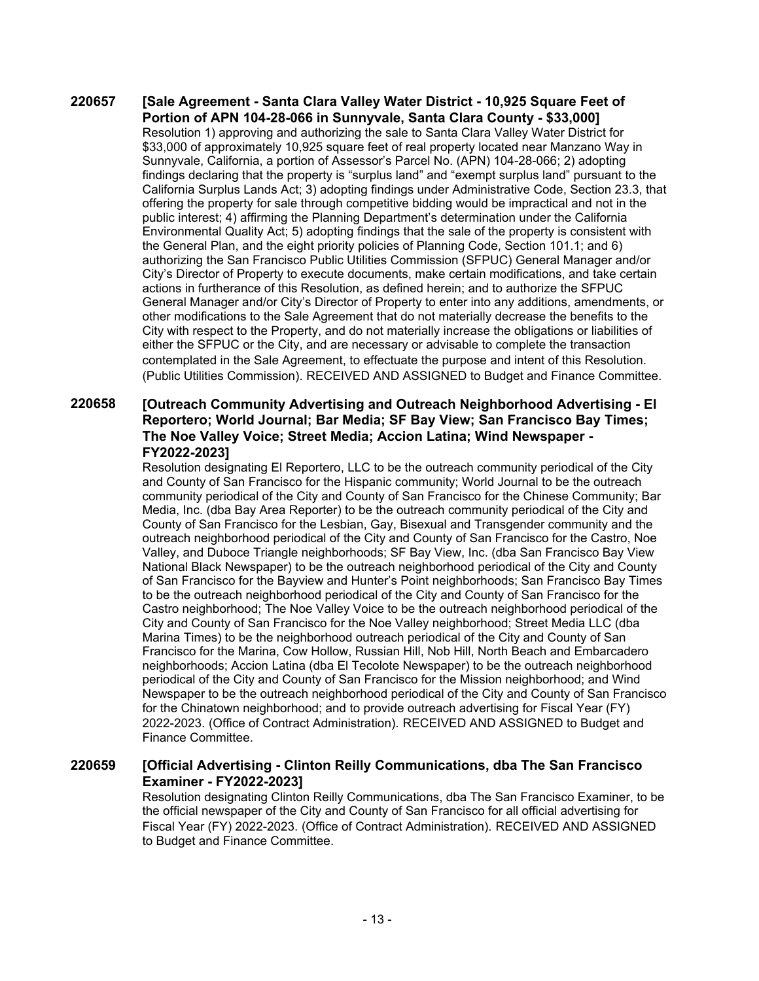### **[Sale Agreement - Santa Clara Valley Water District - 10,925 Square Feet of Portion of APN 104-28-066 in Sunnyvale, Santa Clara County - \$33,000] 220657** Resolution 1) approving and authorizing the sale to Santa Clara Valley Water District for \$33,000 of approximately 10,925 square feet of real property located near Manzano Way in Sunnyvale, California, a portion of Assessor's Parcel No. (APN) 104-28-066; 2) adopting findings declaring that the property is "surplus land" and "exempt surplus land" pursuant to the California Surplus Lands Act; 3) adopting findings under Administrative Code, Section 23.3, that offering the property for sale through competitive bidding would be impractical and not in the public interest; 4) affirming the Planning Department's determination under the California Environmental Quality Act; 5) adopting findings that the sale of the property is consistent with the General Plan, and the eight priority policies of Planning Code, Section 101.1; and 6) authorizing the San Francisco Public Utilities Commission (SFPUC) General Manager and/or City's Director of Property to execute documents, make certain modifications, and take certain actions in furtherance of this Resolution, as defined herein; and to authorize the SFPUC General Manager and/or City's Director of Property to enter into any additions, amendments, or other modifications to the Sale Agreement that do not materially decrease the benefits to the City with respect to the Property, and do not materially increase the obligations or liabilities of either the SFPUC or the City, and are necessary or advisable to complete the transaction contemplated in the Sale Agreement, to effectuate the purpose and intent of this Resolution. (Public Utilities Commission). RECEIVED AND ASSIGNED to Budget and Finance Committee.

### **[Outreach Community Advertising and Outreach Neighborhood Advertising - El Reportero; World Journal; Bar Media; SF Bay View; San Francisco Bay Times; The Noe Valley Voice; Street Media; Accion Latina; Wind Newspaper - FY2022-2023] 220658**

Resolution designating El Reportero, LLC to be the outreach community periodical of the City and County of San Francisco for the Hispanic community; World Journal to be the outreach community periodical of the City and County of San Francisco for the Chinese Community; Bar Media, Inc. (dba Bay Area Reporter) to be the outreach community periodical of the City and County of San Francisco for the Lesbian, Gay, Bisexual and Transgender community and the outreach neighborhood periodical of the City and County of San Francisco for the Castro, Noe Valley, and Duboce Triangle neighborhoods; SF Bay View, Inc. (dba San Francisco Bay View National Black Newspaper) to be the outreach neighborhood periodical of the City and County of San Francisco for the Bayview and Hunter's Point neighborhoods; San Francisco Bay Times to be the outreach neighborhood periodical of the City and County of San Francisco for the Castro neighborhood; The Noe Valley Voice to be the outreach neighborhood periodical of the City and County of San Francisco for the Noe Valley neighborhood; Street Media LLC (dba Marina Times) to be the neighborhood outreach periodical of the City and County of San Francisco for the Marina, Cow Hollow, Russian Hill, Nob Hill, North Beach and Embarcadero neighborhoods; Accion Latina (dba El Tecolote Newspaper) to be the outreach neighborhood periodical of the City and County of San Francisco for the Mission neighborhood; and Wind Newspaper to be the outreach neighborhood periodical of the City and County of San Francisco for the Chinatown neighborhood; and to provide outreach advertising for Fiscal Year (FY) 2022-2023. (Office of Contract Administration). RECEIVED AND ASSIGNED to Budget and Finance Committee.

#### **[Official Advertising - Clinton Reilly Communications, dba The San Francisco Examiner - FY2022-2023] 220659**

Resolution designating Clinton Reilly Communications, dba The San Francisco Examiner, to be the official newspaper of the City and County of San Francisco for all official advertising for Fiscal Year (FY) 2022-2023. (Office of Contract Administration). RECEIVED AND ASSIGNED to Budget and Finance Committee.